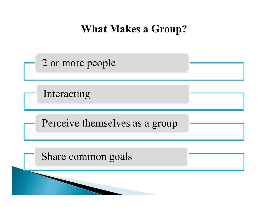## **What Makes a Group?**

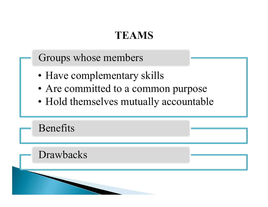Groups whose members

- 
- TEAMS<br>
Groups whose members<br>
 Have complementary skills<br>
 Are committed to a common purpos
- TEAMS<br>
Groups whose members<br>
 Have complementary skills<br>
 Are committed to a common purpose<br>
 Hold themselves mutually accountable

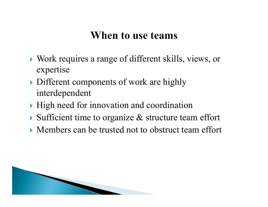## When to use teams

- Work requires a range of different skills, views, or expertise
- Different components of work are highly interdependent
- $\blacktriangleright$  High need for innovation and coordination
- $\triangleright$  Sufficient time to organize  $\&$  structure team effort
- Members can be trusted not to obstruct team effort

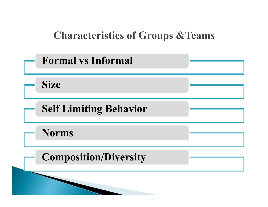# **Characteristics of Groups & Teams**

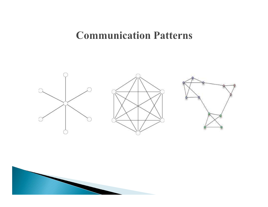## **Communication Patterns**



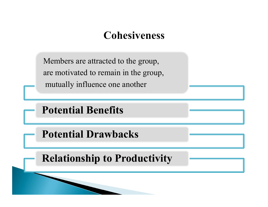## **Cohesiveness**

Members are attracted to the group, are motivated to remain in the group, mutually influence one another Members are attracted to the group,<br>
are motivated to remain in the group,<br>
mutually influence one another<br> **Potential Benefits**<br>
Potential Drawbacks<br>
Potential Drawbacks

Potential Benefits

Relationship to Productivity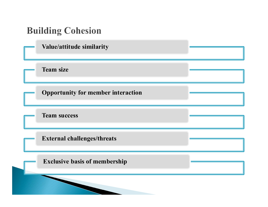### **Building Cohesion**

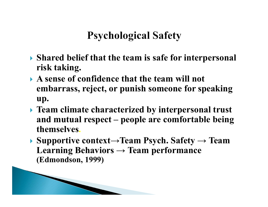- Shared belief that the team is safe for interpersonal risk taking.
- A sense of confidence that the team will not embarrass, reject, or punish someone for speaking up.
- **Figure 1.5 Theorem 2.5 Theorem interpersonal trust**  $\;$  Psychological Satety<br>
Shared belief that the team is safe for interpersonal<br>
risk taking.<br>
A sense of confidence that the team will not<br>
embarrass, reject, or punish someone for speaking<br>
up.<br>
Team climate characteri themselves. Shared belief that the team is safe for interpersonal<br>
risk taking.<br>
A sense of confidence that the team will not<br>
embarrass, reject, or punish someone for speaking<br>
up.<br>
Team climate characterized by interpersonal trust
- Learning Behaviors  $\rightarrow$  Team performance (Edmondson, 1999)

**The Comment of Comment of The Comment of The Comment of The Comment of The Comment of The Comment of The Comment of The Comment of The Comment of The Comment of The Comment of The Comment of The Comment of The Comment of**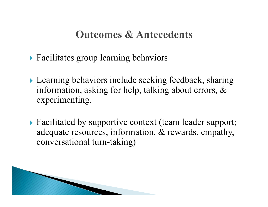## **Outcomes & Antecedents**

- ▶ Facilitates group learning behaviors
- ▶ Learning behaviors include seeking feedback, sharing information, asking for help, talking about errors, & experimenting.
- ▶ Facilitated by supportive context (team leader support; adequate resources, information, & rewards, empathy, conversational turn-taking)

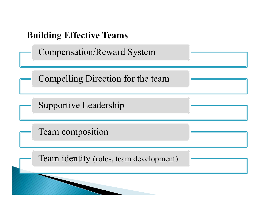### **Building Effective Teams**

Compensation/Reward System

Compelling Direction for the team

Supportive Leadership

Team composition

Team identity (roles, team development)